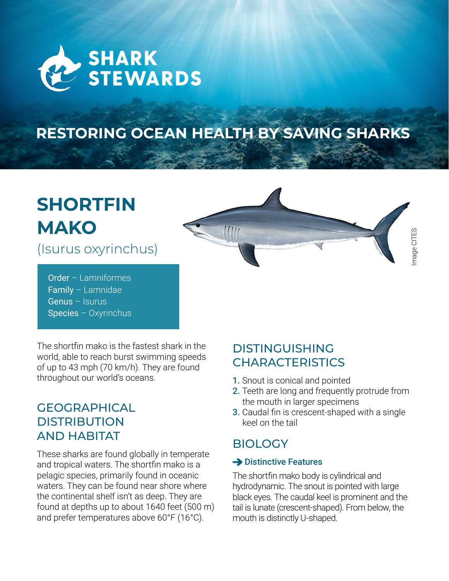

# **RESTORING OCEAN HEALTH BY SAVING SHARKS**

# **SHORTFIN MAKO**

(Isurus oxyrinchus)

Order – Lamniformes Family – Lamnidae Genus – Isurus Species – Oxyrinchus

The shortfin mako is the fastest shark in the world, able to reach burst swimming speeds of up to 43 mph (70 km/h). They are found throughout our world's oceans.

## **GEOGRAPHICAL DISTRIBUTION** AND HABITAT

These sharks are found globally in temperate and tropical waters. The shortfin mako is a pelagic species, primarily found in oceanic waters. They can be found near shore where the continental shelf isn't as deep. They are found at depths up to about 1640 feet (500 m) and prefer temperatures above 60°F (16°C).

# DISTINGUISHING **CHARACTERISTICS**

- 1. Snout is conical and pointed
- 2. Teeth are long and frequently protrude from the mouth in larger specimens

Image CITES

mage CITES

3. Caudal fin is crescent-shaped with a single keel on the tail

# **BIOLOGY**

#### $\rightarrow$  Distinctive Features

The shortfin mako body is cylindrical and hydrodynamic. The snout is pointed with large black eyes. The caudal keel is prominent and the tail is lunate (crescent-shaped). From below, the mouth is distinctly U-shaped.